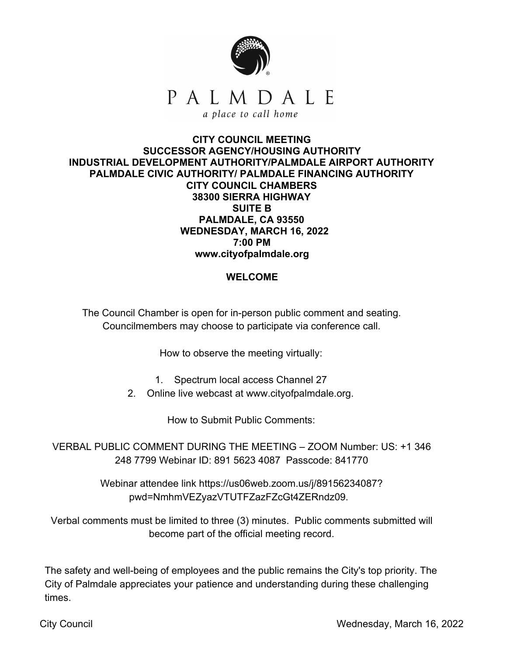

#### **CITY COUNCIL MEETING SUCCESSOR AGENCY/HOUSING AUTHORITY INDUSTRIAL DEVELOPMENT AUTHORITY/PALMDALE AIRPORT AUTHORITY PALMDALE CIVIC AUTHORITY/ PALMDALE FINANCING AUTHORITY CITY COUNCIL CHAMBERS 38300 SIERRA HIGHWAY SUITE B PALMDALE, CA 93550 WEDNESDAY, MARCH 16, 2022 7:00 PM www.cityofpalmdale.org**

#### **WELCOME**

The Council Chamber is open for in-person public comment and seating. Councilmembers may choose to participate via conference call.

How to observe the meeting virtually:

- 1. Spectrum local access Channel 27
- 2. Online live webcast at www.cityofpalmdale.org.

How to Submit Public Comments:

VERBAL PUBLIC COMMENT DURING THE MEETING – ZOOM Number: US: +1 346 248 7799 Webinar ID: 891 5623 4087 Passcode: 841770

> Webinar attendee link https://us06web.zoom.us/j/89156234087? pwd=NmhmVEZyazVTUTFZazFZcGt4ZERndz09.

Verbal comments must be limited to three (3) minutes. Public comments submitted will become part of the official meeting record.

The safety and well-being of employees and the public remains the City's top priority. The City of Palmdale appreciates your patience and understanding during these challenging times.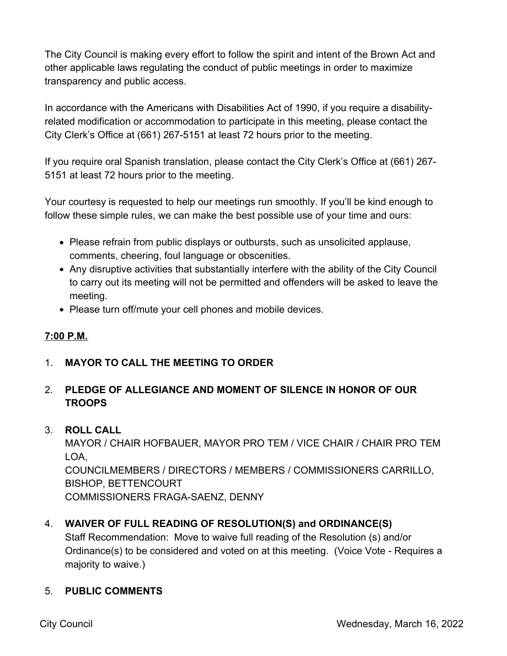The City Council is making every effort to follow the spirit and intent of the Brown Act and other applicable laws regulating the conduct of public meetings in order to maximize transparency and public access.

In accordance with the Americans with Disabilities Act of 1990, if you require a disabilityrelated modification or accommodation to participate in this meeting, please contact the City Clerk's Office at (661) 267-5151 at least 72 hours prior to the meeting.

If you require oral Spanish translation, please contact the City Clerk's Office at (661) 267- 5151 at least 72 hours prior to the meeting.

Your courtesy is requested to help our meetings run smoothly. If you'll be kind enough to follow these simple rules, we can make the best possible use of your time and ours:

- Please refrain from public displays or outbursts, such as unsolicited applause, comments, cheering, foul language or obscenities.
- Any disruptive activities that substantially interfere with the ability of the City Council to carry out its meeting will not be permitted and offenders will be asked to leave the meeting.
- Please turn off/mute your cell phones and mobile devices.

### **7:00 P.M.**

### 1. **MAYOR TO CALL THE MEETING TO ORDER**

# 2. **PLEDGE OF ALLEGIANCE AND MOMENT OF SILENCE IN HONOR OF OUR TROOPS**

### 3. **ROLL CALL**

MAYOR / CHAIR HOFBAUER, MAYOR PRO TEM / VICE CHAIR / CHAIR PRO TEM LOA, COUNCILMEMBERS / DIRECTORS / MEMBERS / COMMISSIONERS CARRILLO, BISHOP, BETTENCOURT COMMISSIONERS FRAGA-SAENZ, DENNY

# 4. **WAIVER OF FULL READING OF RESOLUTION(S) and ORDINANCE(S)**

Staff Recommendation: Move to waive full reading of the Resolution (s) and/or Ordinance(s) to be considered and voted on at this meeting. (Voice Vote - Requires a majority to waive.)

### 5. **PUBLIC COMMENTS**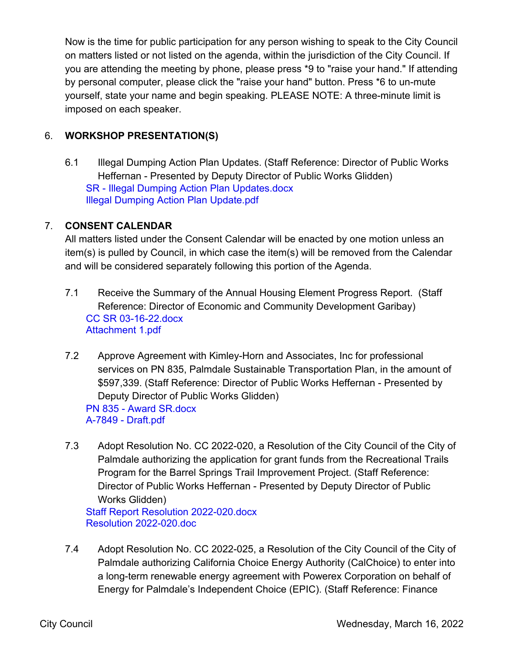Now is the time for public participation for any person wishing to speak to the City Council on matters listed or not listed on the agenda, within the jurisdiction of the City Council. If you are attending the meeting by phone, please press \*9 to "raise your hand." If attending by personal computer, please click the "raise your hand" button. Press \*6 to un-mute yourself, state your name and begin speaking. PLEASE NOTE: A three-minute limit is imposed on each speaker.

## 6. **WORKSHOP PRESENTATION(S)**

6.1 Illegal Dumping Action Plan Updates. (Staff Reference: Director of Public Works Heffernan - Presented by Deputy Director of Public Works Glidden) SR - Illegal Dumping Action Plan Updates.docx Illegal Dumping Action Plan Update.pdf

## 7. **CONSENT CALENDAR**

All matters listed under the Consent Calendar will be enacted by one motion unless an item(s) is pulled by Council, in which case the item(s) will be removed from the Calendar and will be considered separately following this portion of the Agenda.

- 7.1 Receive the Summary of the Annual Housing Element Progress Report. (Staff Reference: Director of Economic and Community Development Garibay) CC SR 03-16-22.docx Attachment 1.pdf
- 7.2 Approve Agreement with Kimley-Horn and Associates, Inc for professional services on PN 835, Palmdale Sustainable Transportation Plan, in the amount of \$597,339. (Staff Reference: Director of Public Works Heffernan - Presented by Deputy Director of Public Works Glidden) PN 835 - Award SR.docx A-7849 - Draft.pdf
- 7.3 Adopt Resolution No. CC 2022-020, a Resolution of the City Council of the City of Palmdale authorizing the application for grant funds from the Recreational Trails Program for the Barrel Springs Trail Improvement Project. (Staff Reference: Director of Public Works Heffernan - Presented by Deputy Director of Public Works Glidden)

Staff Report Resolution 2022-020.docx Resolution 2022-020.doc

7.4 Adopt Resolution No. CC 2022-025, a Resolution of the City Council of the City of Palmdale authorizing California Choice Energy Authority (CalChoice) to enter into a long-term renewable energy agreement with Powerex Corporation on behalf of Energy for Palmdale's Independent Choice (EPIC). (Staff Reference: Finance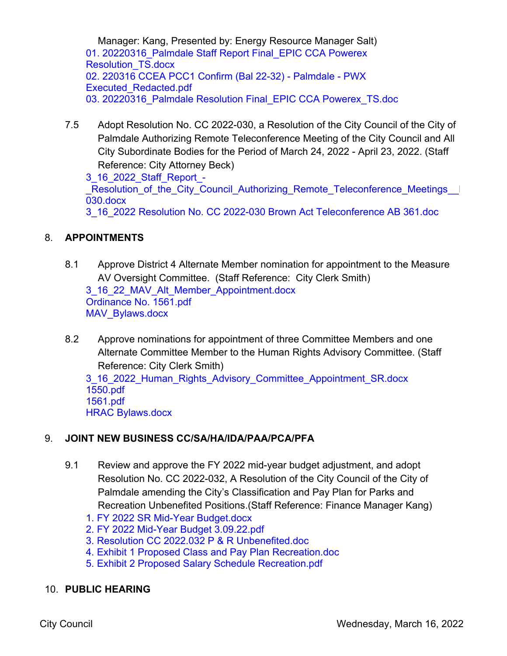Manager: Kang, Presented by: Energy Resource Manager Salt) 01. 20220316 Palmdale Staff Report Final EPIC CCA Powerex Resolution\_TS.docx 02. 220316 CCEA PCC1 Confirm (Bal 22-32) - Palmdale - PWX Executed\_Redacted.pdf 03. 20220316 Palmdale Resolution Final EPIC CCA Powerex TS.doc

7.5 Adopt Resolution No. CC 2022-030, a Resolution of the City Council of the City of Palmdale Authorizing Remote Teleconference Meeting of the City Council and All City Subordinate Bodies for the Period of March 24, 2022 - April 23, 2022. (Staff Reference: City Attorney Beck)

3\_16\_2022\_Staff\_Report\_- \_Resolution\_of\_the\_City\_Council\_Authorizing\_Remote\_Teleconference\_Meetings 030.docx 3\_16\_2022 Resolution No. CC 2022-030 Brown Act Teleconference AB 361.doc

### 8. **APPOINTMENTS**

- 8.1 Approve District 4 Alternate Member nomination for appointment to the Measure AV Oversight Committee. (Staff Reference: City Clerk Smith) 3\_16\_22\_MAV\_Alt\_Member\_Appointment.docx Ordinance No. 1561.pdf MAV\_Bylaws.docx
- 8.2 Approve nominations for appointment of three Committee Members and one Alternate Committee Member to the Human Rights Advisory Committee. (Staff Reference: City Clerk Smith)

3\_16\_2022\_Human\_Rights\_Advisory\_Committee\_Appointment\_SR.docx 1550.pdf 1561.pdf HRAC Bylaws.docx

### 9. **JOINT NEW BUSINESS CC/SA/HA/IDA/PAA/PCA/PFA**

- 9.1 Review and approve the FY 2022 mid-year budget adjustment, and adopt Resolution No. CC 2022-032, A Resolution of the City Council of the City of Palmdale amending the City's Classification and Pay Plan for Parks and Recreation Unbenefited Positions.(Staff Reference: Finance Manager Kang)
	- 1. FY 2022 SR Mid-Year Budget.docx
	- 2. FY 2022 Mid-Year Budget 3.09.22.pdf
	- 3. Resolution CC 2022.032 P & R Unbenefited.doc
	- 4. Exhibit 1 Proposed Class and Pay Plan Recreation.doc
	- 5. Exhibit 2 Proposed Salary Schedule Recreation.pdf

#### 10. **PUBLIC HEARING**